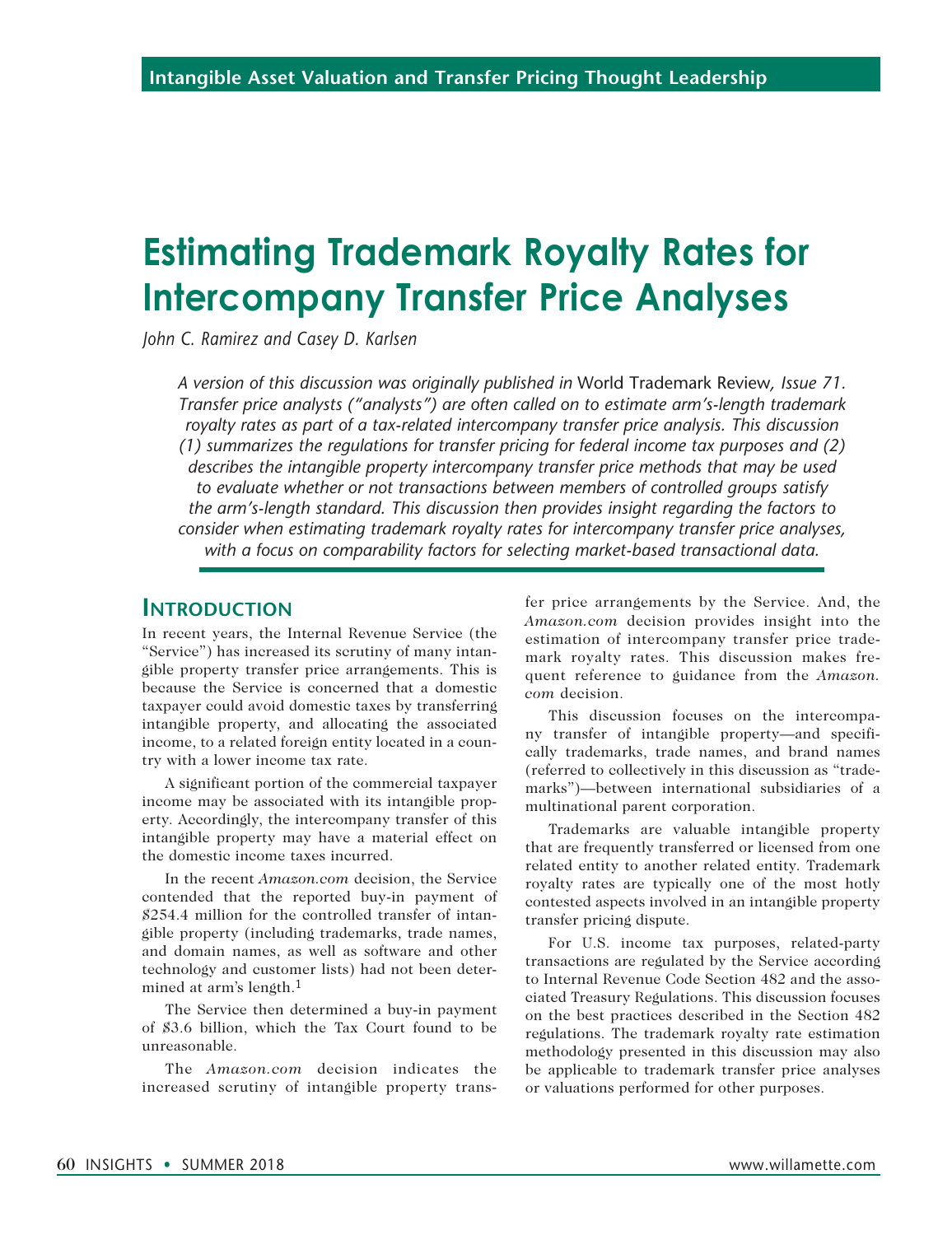# **Estimating Trademark Royalty Rates for Intercompany Transfer Price Analyses**

*John C. Ramirez and Casey D. Karlsen*

*A version of this discussion was originally published in* World Trademark Review*, Issue 71. Transfer price analysts ("analysts") are often called on to estimate arm's-length trademark royalty rates as part of a tax-related intercompany transfer price analysis. This discussion (1) summarizes the regulations for transfer pricing for federal income tax purposes and (2) describes the intangible property intercompany transfer price methods that may be used to evaluate whether or not transactions between members of controlled groups satisfy the arm's-length standard. This discussion then provides insight regarding the factors to consider when estimating trademark royalty rates for intercompany transfer price analyses, with a focus on comparability factors for selecting market-based transactional data.*

#### **Introduction**

In recent years, the Internal Revenue Service (the "Service") has increased its scrutiny of many intangible property transfer price arrangements. This is because the Service is concerned that a domestic taxpayer could avoid domestic taxes by transferring intangible property, and allocating the associated income, to a related foreign entity located in a country with a lower income tax rate.

A significant portion of the commercial taxpayer income may be associated with its intangible property. Accordingly, the intercompany transfer of this intangible property may have a material effect on the domestic income taxes incurred.

In the recent *Amazon.com* decision, the Service contended that the reported buy-in payment of \$254.4 million for the controlled transfer of intangible property (including trademarks, trade names, and domain names, as well as software and other technology and customer lists) had not been determined at arm's length.1

The Service then determined a buy-in payment of \$3.6 billion, which the Tax Court found to be unreasonable.

The *Amazon.com* decision indicates the increased scrutiny of intangible property trans-

fer price arrangements by the Service. And, the *Amazon.com* decision provides insight into the estimation of intercompany transfer price trademark royalty rates. This discussion makes frequent reference to guidance from the *Amazon. com* decision.

This discussion focuses on the intercompany transfer of intangible property—and specifically trademarks, trade names, and brand names (referred to collectively in this discussion as "trademarks")—between international subsidiaries of a multinational parent corporation.

Trademarks are valuable intangible property that are frequently transferred or licensed from one related entity to another related entity. Trademark royalty rates are typically one of the most hotly contested aspects involved in an intangible property transfer pricing dispute.

For U.S. income tax purposes, related-party transactions are regulated by the Service according to Internal Revenue Code Section 482 and the associated Treasury Regulations. This discussion focuses on the best practices described in the Section 482 regulations. The trademark royalty rate estimation methodology presented in this discussion may also be applicable to trademark transfer price analyses or valuations performed for other purposes.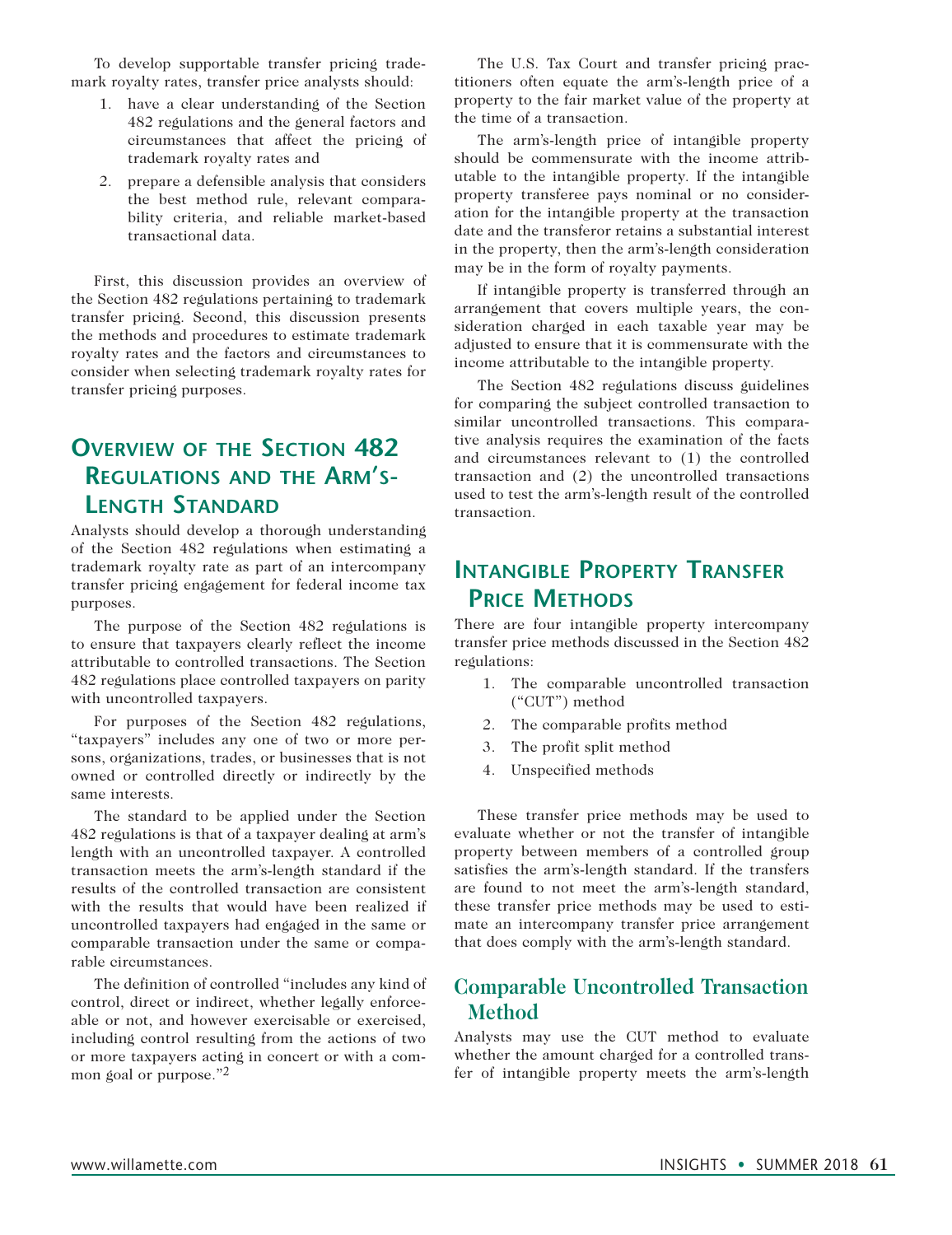To develop supportable transfer pricing trademark royalty rates, transfer price analysts should:

- 1. have a clear understanding of the Section 482 regulations and the general factors and circumstances that affect the pricing of trademark royalty rates and
- 2. prepare a defensible analysis that considers the best method rule, relevant comparability criteria, and reliable market-based transactional data.

First, this discussion provides an overview of the Section 482 regulations pertaining to trademark transfer pricing. Second, this discussion presents the methods and procedures to estimate trademark royalty rates and the factors and circumstances to consider when selecting trademark royalty rates for transfer pricing purposes.

### **Overview of the Section 482 Regulations and the Arm's-Length Standard**

Analysts should develop a thorough understanding of the Section 482 regulations when estimating a trademark royalty rate as part of an intercompany transfer pricing engagement for federal income tax purposes.

The purpose of the Section 482 regulations is to ensure that taxpayers clearly reflect the income attributable to controlled transactions. The Section 482 regulations place controlled taxpayers on parity with uncontrolled taxpayers.

For purposes of the Section 482 regulations, "taxpayers" includes any one of two or more persons, organizations, trades, or businesses that is not owned or controlled directly or indirectly by the same interests.

The standard to be applied under the Section 482 regulations is that of a taxpayer dealing at arm's length with an uncontrolled taxpayer. A controlled transaction meets the arm's-length standard if the results of the controlled transaction are consistent with the results that would have been realized if uncontrolled taxpayers had engaged in the same or comparable transaction under the same or comparable circumstances.

The definition of controlled "includes any kind of control, direct or indirect, whether legally enforceable or not, and however exercisable or exercised, including control resulting from the actions of two or more taxpayers acting in concert or with a common goal or purpose."2

The U.S. Tax Court and transfer pricing practitioners often equate the arm's-length price of a property to the fair market value of the property at the time of a transaction.

The arm's-length price of intangible property should be commensurate with the income attributable to the intangible property. If the intangible property transferee pays nominal or no consideration for the intangible property at the transaction date and the transferor retains a substantial interest in the property, then the arm's-length consideration may be in the form of royalty payments.

If intangible property is transferred through an arrangement that covers multiple years, the consideration charged in each taxable year may be adjusted to ensure that it is commensurate with the income attributable to the intangible property.

The Section 482 regulations discuss guidelines for comparing the subject controlled transaction to similar uncontrolled transactions. This comparative analysis requires the examination of the facts and circumstances relevant to (1) the controlled transaction and (2) the uncontrolled transactions used to test the arm's-length result of the controlled transaction.

### **Intangible Property Transfer Price Methods**

There are four intangible property intercompany transfer price methods discussed in the Section 482 regulations:

- 1. The comparable uncontrolled transaction ("CUT") method
- 2. The comparable profits method
- 3. The profit split method
- 4. Unspecified methods

These transfer price methods may be used to evaluate whether or not the transfer of intangible property between members of a controlled group satisfies the arm's-length standard. If the transfers are found to not meet the arm's-length standard, these transfer price methods may be used to estimate an intercompany transfer price arrangement that does comply with the arm's-length standard.

### **Comparable Uncontrolled Transaction Method**

Analysts may use the CUT method to evaluate whether the amount charged for a controlled transfer of intangible property meets the arm's-length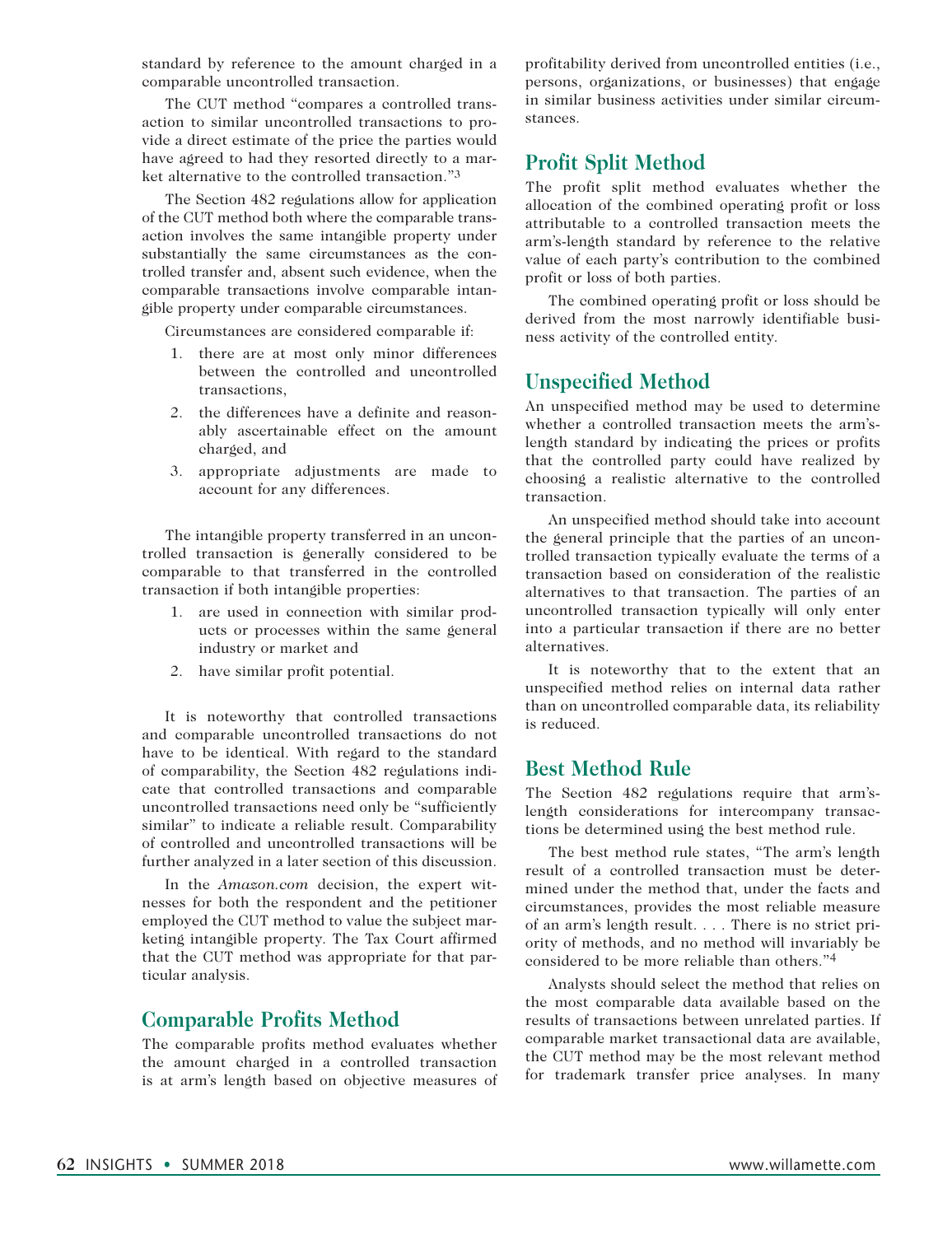standard by reference to the amount charged in a comparable uncontrolled transaction.

The CUT method "compares a controlled transaction to similar uncontrolled transactions to provide a direct estimate of the price the parties would have agreed to had they resorted directly to a market alternative to the controlled transaction."3

The Section 482 regulations allow for application of the CUT method both where the comparable transaction involves the same intangible property under substantially the same circumstances as the controlled transfer and, absent such evidence, when the comparable transactions involve comparable intangible property under comparable circumstances.

Circumstances are considered comparable if:

- 1. there are at most only minor differences between the controlled and uncontrolled transactions,
- 2. the differences have a definite and reasonably ascertainable effect on the amount charged, and
- 3. appropriate adjustments are made to account for any differences.

The intangible property transferred in an uncontrolled transaction is generally considered to be comparable to that transferred in the controlled transaction if both intangible properties:

- 1. are used in connection with similar products or processes within the same general industry or market and
- 2. have similar profit potential.

It is noteworthy that controlled transactions and comparable uncontrolled transactions do not have to be identical. With regard to the standard of comparability, the Section 482 regulations indicate that controlled transactions and comparable uncontrolled transactions need only be "sufficiently similar" to indicate a reliable result. Comparability of controlled and uncontrolled transactions will be further analyzed in a later section of this discussion.

In the *Amazon.com* decision, the expert witnesses for both the respondent and the petitioner employed the CUT method to value the subject marketing intangible property. The Tax Court affirmed that the CUT method was appropriate for that particular analysis.

#### **Comparable Profits Method**

The comparable profits method evaluates whether the amount charged in a controlled transaction is at arm's length based on objective measures of

profitability derived from uncontrolled entities (i.e., persons, organizations, or businesses) that engage in similar business activities under similar circumstances.

#### **Profit Split Method**

The profit split method evaluates whether the allocation of the combined operating profit or loss attributable to a controlled transaction meets the arm's-length standard by reference to the relative value of each party's contribution to the combined profit or loss of both parties.

The combined operating profit or loss should be derived from the most narrowly identifiable business activity of the controlled entity.

#### **Unspecified Method**

An unspecified method may be used to determine whether a controlled transaction meets the arm'slength standard by indicating the prices or profits that the controlled party could have realized by choosing a realistic alternative to the controlled transaction.

An unspecified method should take into account the general principle that the parties of an uncontrolled transaction typically evaluate the terms of a transaction based on consideration of the realistic alternatives to that transaction. The parties of an uncontrolled transaction typically will only enter into a particular transaction if there are no better alternatives.

It is noteworthy that to the extent that an unspecified method relies on internal data rather than on uncontrolled comparable data, its reliability is reduced.

#### **Best Method Rule**

The Section 482 regulations require that arm'slength considerations for intercompany transactions be determined using the best method rule.

The best method rule states, "The arm's length result of a controlled transaction must be determined under the method that, under the facts and circumstances, provides the most reliable measure of an arm's length result. . . . There is no strict priority of methods, and no method will invariably be considered to be more reliable than others."4

Analysts should select the method that relies on the most comparable data available based on the results of transactions between unrelated parties. If comparable market transactional data are available, the CUT method may be the most relevant method for trademark transfer price analyses. In many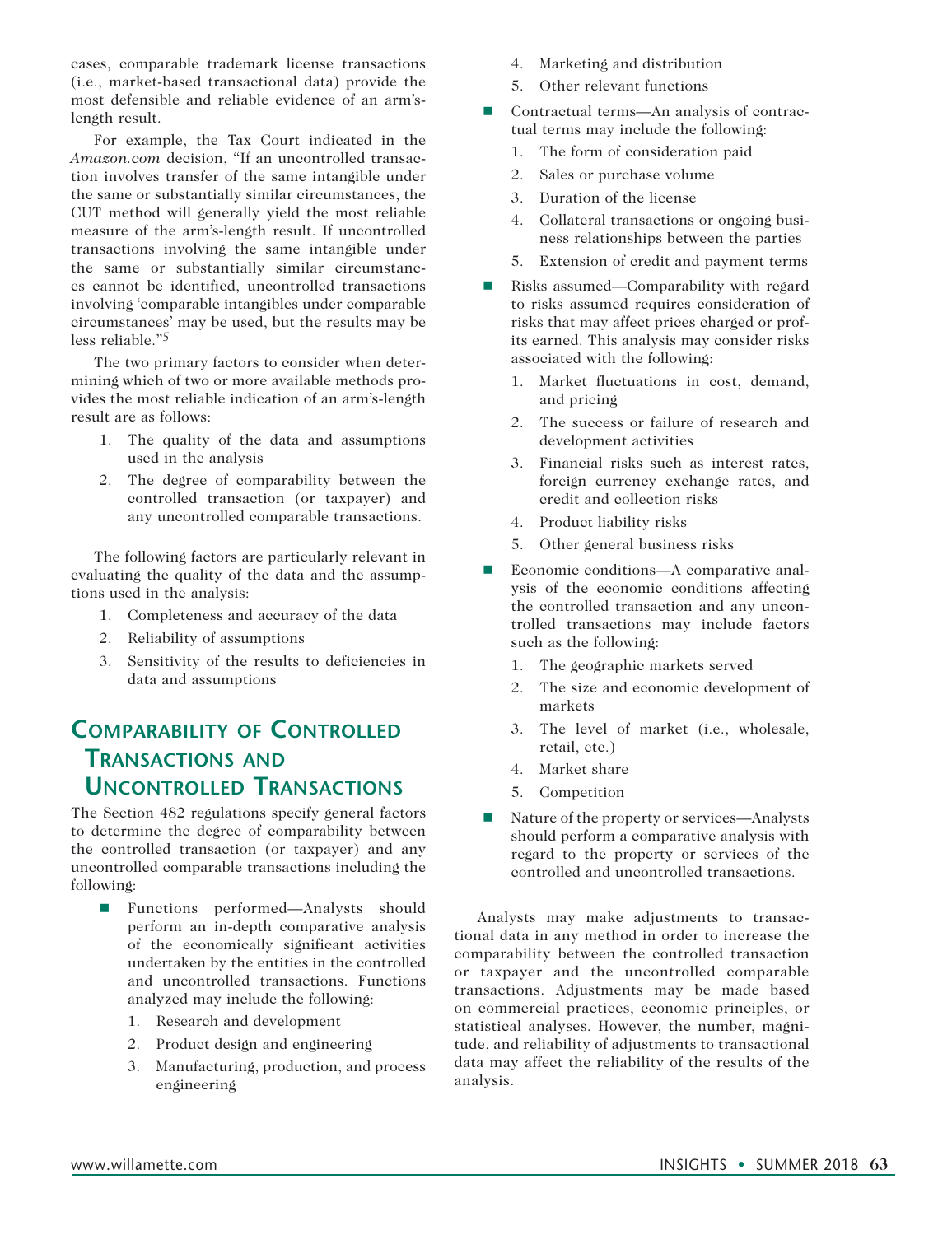cases, comparable trademark license transactions (i.e., market-based transactional data) provide the most defensible and reliable evidence of an arm'slength result.

For example, the Tax Court indicated in the *Amazon.com* decision, "If an uncontrolled transaction involves transfer of the same intangible under the same or substantially similar circumstances, the CUT method will generally yield the most reliable measure of the arm's-length result. If uncontrolled transactions involving the same intangible under the same or substantially similar circumstances cannot be identified, uncontrolled transactions involving 'comparable intangibles under comparable circumstances' may be used, but the results may be less reliable."5

The two primary factors to consider when determining which of two or more available methods provides the most reliable indication of an arm's-length result are as follows:

- 1. The quality of the data and assumptions used in the analysis
- 2. The degree of comparability between the controlled transaction (or taxpayer) and any uncontrolled comparable transactions.

The following factors are particularly relevant in evaluating the quality of the data and the assumptions used in the analysis:

- 1. Completeness and accuracy of the data
- 2. Reliability of assumptions
- 3. Sensitivity of the results to deficiencies in data and assumptions

### **Comparability of Controlled Transactions and Uncontrolled Transactions**

The Section 482 regulations specify general factors to determine the degree of comparability between the controlled transaction (or taxpayer) and any uncontrolled comparable transactions including the following:

- Functions performed—Analysts should perform an in-depth comparative analysis of the economically significant activities undertaken by the entities in the controlled and uncontrolled transactions. Functions analyzed may include the following:
	- 1. Research and development
	- 2. Product design and engineering
	- 3. Manufacturing, production, and process engineering
- 4. Marketing and distribution
- 5. Other relevant functions
- Contractual terms—An analysis of contractual terms may include the following:
	- 1. The form of consideration paid
	- 2. Sales or purchase volume
	- 3. Duration of the license
	- 4. Collateral transactions or ongoing business relationships between the parties
	- 5. Extension of credit and payment terms
- $\blacksquare$  Risks assumed—Comparability with regard to risks assumed requires consideration of risks that may affect prices charged or profits earned. This analysis may consider risks associated with the following:
	- 1. Market fluctuations in cost, demand, and pricing
	- 2. The success or failure of research and development activities
	- 3. Financial risks such as interest rates, foreign currency exchange rates, and credit and collection risks
	- 4. Product liability risks
	- 5. Other general business risks
- Economic conditions—A comparative analysis of the economic conditions affecting the controlled transaction and any uncontrolled transactions may include factors such as the following:
	- 1. The geographic markets served
	- 2. The size and economic development of markets
	- 3. The level of market (i.e., wholesale, retail, etc.)
	- 4. Market share
	- 5. Competition
- $\blacksquare$  Nature of the property or services—Analysts should perform a comparative analysis with regard to the property or services of the controlled and uncontrolled transactions.

Analysts may make adjustments to transactional data in any method in order to increase the comparability between the controlled transaction or taxpayer and the uncontrolled comparable transactions. Adjustments may be made based on commercial practices, economic principles, or statistical analyses. However, the number, magnitude, and reliability of adjustments to transactional data may affect the reliability of the results of the analysis.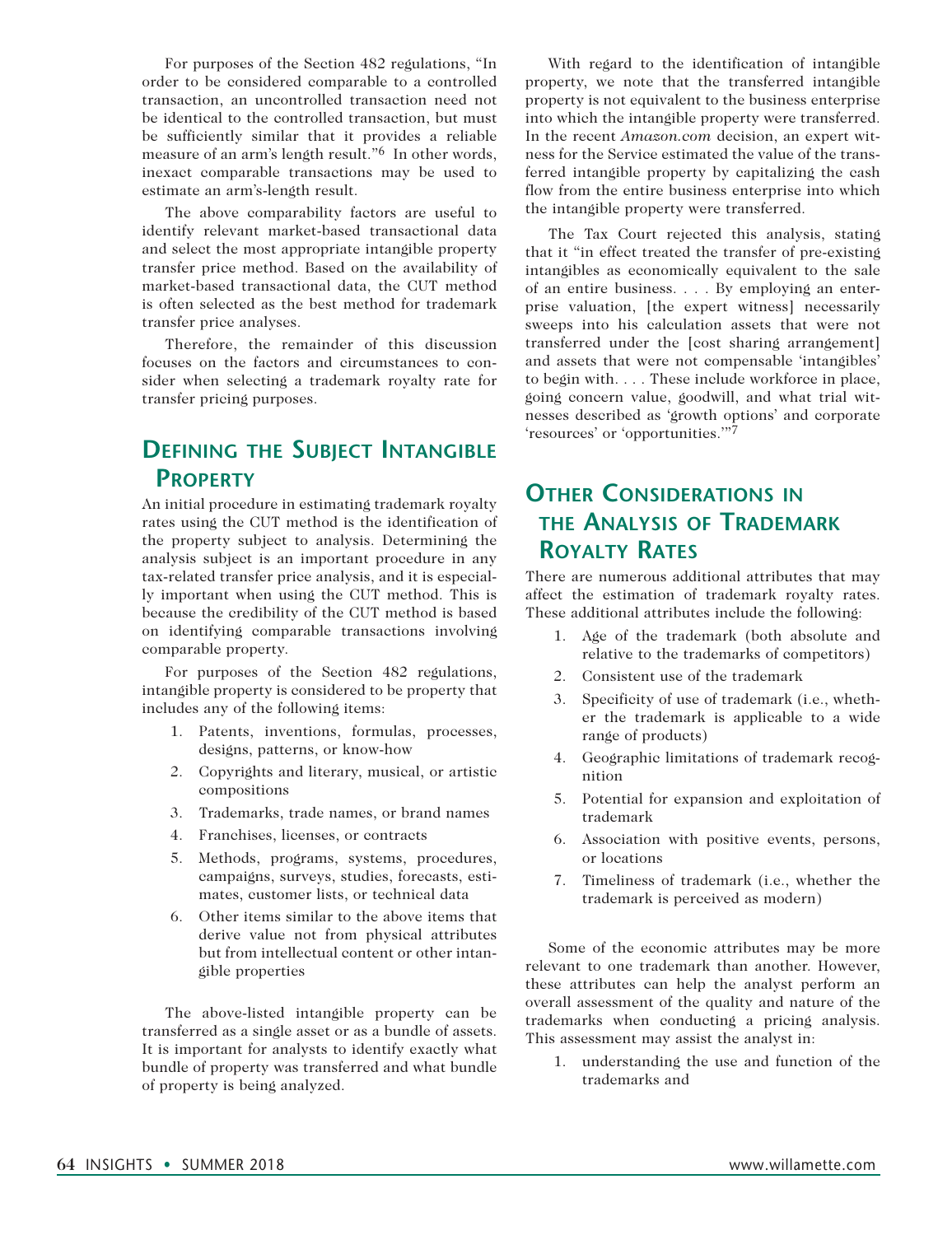For purposes of the Section 482 regulations, "In order to be considered comparable to a controlled transaction, an uncontrolled transaction need not be identical to the controlled transaction, but must be sufficiently similar that it provides a reliable measure of an arm's length result."6 In other words, inexact comparable transactions may be used to estimate an arm's-length result.

The above comparability factors are useful to identify relevant market-based transactional data and select the most appropriate intangible property transfer price method. Based on the availability of market-based transactional data, the CUT method is often selected as the best method for trademark transfer price analyses.

Therefore, the remainder of this discussion focuses on the factors and circumstances to consider when selecting a trademark royalty rate for transfer pricing purposes.

### **Defining the Subject Intangible Property**

An initial procedure in estimating trademark royalty rates using the CUT method is the identification of the property subject to analysis. Determining the analysis subject is an important procedure in any tax-related transfer price analysis, and it is especially important when using the CUT method. This is because the credibility of the CUT method is based on identifying comparable transactions involving comparable property.

For purposes of the Section 482 regulations, intangible property is considered to be property that includes any of the following items:

- 1. Patents, inventions, formulas, processes, designs, patterns, or know-how
- 2. Copyrights and literary, musical, or artistic compositions
- 3. Trademarks, trade names, or brand names
- 4. Franchises, licenses, or contracts
- 5. Methods, programs, systems, procedures, campaigns, surveys, studies, forecasts, estimates, customer lists, or technical data
- 6. Other items similar to the above items that derive value not from physical attributes but from intellectual content or other intangible properties

The above-listed intangible property can be transferred as a single asset or as a bundle of assets. It is important for analysts to identify exactly what bundle of property was transferred and what bundle of property is being analyzed.

With regard to the identification of intangible property, we note that the transferred intangible property is not equivalent to the business enterprise into which the intangible property were transferred. In the recent *Amazon.com* decision, an expert witness for the Service estimated the value of the transferred intangible property by capitalizing the cash flow from the entire business enterprise into which the intangible property were transferred.

The Tax Court rejected this analysis, stating that it "in effect treated the transfer of pre-existing intangibles as economically equivalent to the sale of an entire business. . . . By employing an enterprise valuation, [the expert witness] necessarily sweeps into his calculation assets that were not transferred under the [cost sharing arrangement] and assets that were not compensable 'intangibles' to begin with. . . . These include workforce in place, going concern value, goodwill, and what trial witnesses described as 'growth options' and corporate 'resources' or 'opportunities.'"7

### **Other Considerations in the Analysis of Trademark Royalty Rates**

There are numerous additional attributes that may affect the estimation of trademark royalty rates. These additional attributes include the following:

- 1. Age of the trademark (both absolute and relative to the trademarks of competitors)
- 2. Consistent use of the trademark
- 3. Specificity of use of trademark (i.e., whether the trademark is applicable to a wide range of products)
- 4. Geographic limitations of trademark recognition
- 5. Potential for expansion and exploitation of trademark
- 6. Association with positive events, persons, or locations
- 7. Timeliness of trademark (i.e., whether the trademark is perceived as modern)

Some of the economic attributes may be more relevant to one trademark than another. However, these attributes can help the analyst perform an overall assessment of the quality and nature of the trademarks when conducting a pricing analysis. This assessment may assist the analyst in:

1. understanding the use and function of the trademarks and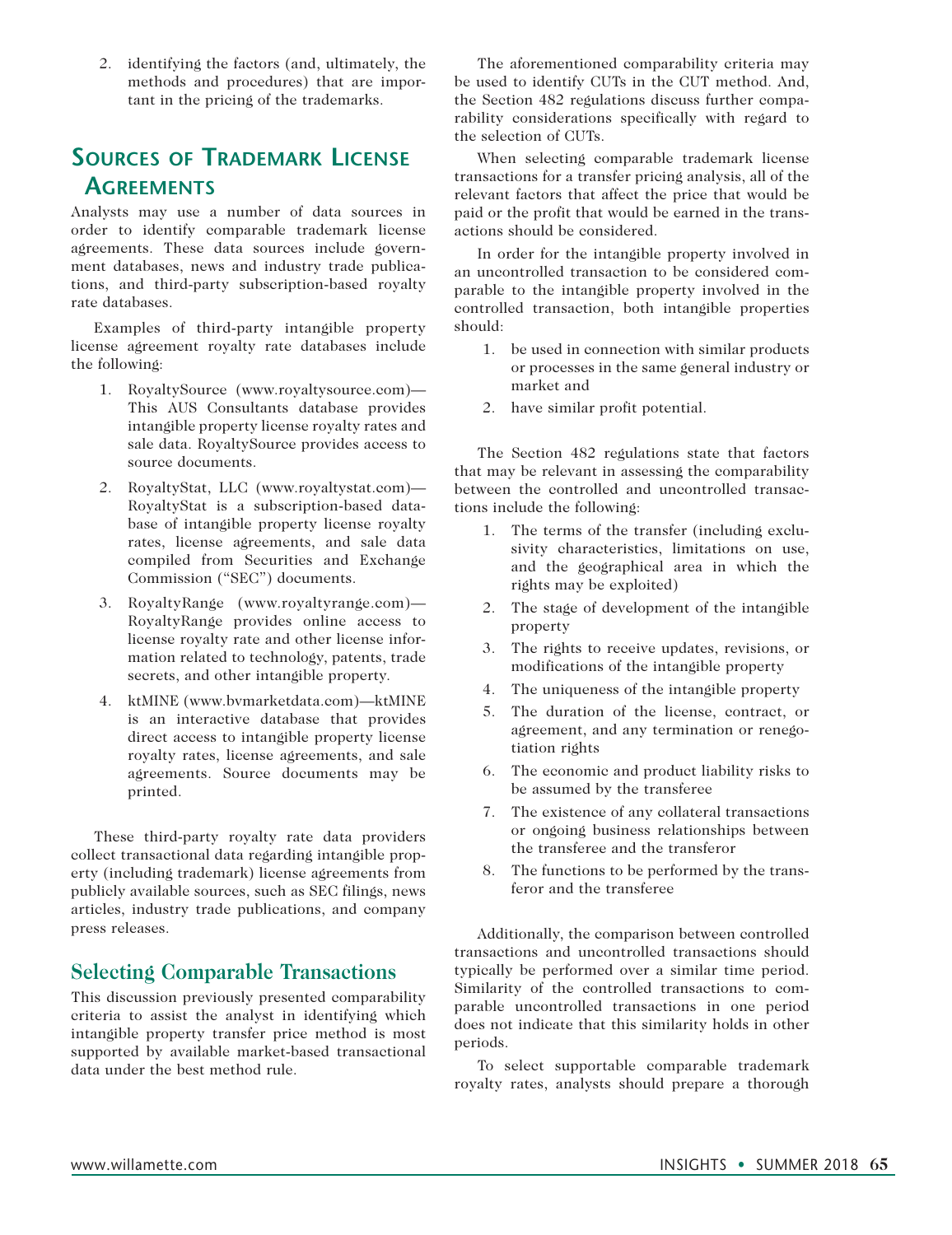2. identifying the factors (and, ultimately, the methods and procedures) that are important in the pricing of the trademarks.

## **Sources of Trademark License Agreements**

Analysts may use a number of data sources in order to identify comparable trademark license agreements. These data sources include government databases, news and industry trade publications, and third-party subscription-based royalty rate databases.

Examples of third-party intangible property license agreement royalty rate databases include the following:

- 1. RoyaltySource (www.royaltysource.com)— This AUS Consultants database provides intangible property license royalty rates and sale data. RoyaltySource provides access to source documents.
- 2. RoyaltyStat, LLC (www.royaltystat.com)— RoyaltyStat is a subscription-based database of intangible property license royalty rates, license agreements, and sale data compiled from Securities and Exchange Commission ("SEC") documents.
- 3. RoyaltyRange (www.royaltyrange.com)— RoyaltyRange provides online access to license royalty rate and other license information related to technology, patents, trade secrets, and other intangible property.
- 4. ktMINE (www.bvmarketdata.com)—ktMINE is an interactive database that provides direct access to intangible property license royalty rates, license agreements, and sale agreements. Source documents may be printed.

These third-party royalty rate data providers collect transactional data regarding intangible property (including trademark) license agreements from publicly available sources, such as SEC filings, news articles, industry trade publications, and company press releases.

#### **Selecting Comparable Transactions**

This discussion previously presented comparability criteria to assist the analyst in identifying which intangible property transfer price method is most supported by available market-based transactional data under the best method rule.

The aforementioned comparability criteria may be used to identify CUTs in the CUT method. And, the Section 482 regulations discuss further comparability considerations specifically with regard to the selection of CUTs.

When selecting comparable trademark license transactions for a transfer pricing analysis, all of the relevant factors that affect the price that would be paid or the profit that would be earned in the transactions should be considered.

In order for the intangible property involved in an uncontrolled transaction to be considered comparable to the intangible property involved in the controlled transaction, both intangible properties should:

- 1. be used in connection with similar products or processes in the same general industry or market and
- 2. have similar profit potential.

The Section 482 regulations state that factors that may be relevant in assessing the comparability between the controlled and uncontrolled transactions include the following:

- 1. The terms of the transfer (including exclusivity characteristics, limitations on use, and the geographical area in which the rights may be exploited)
- 2. The stage of development of the intangible property
- 3. The rights to receive updates, revisions, or modifications of the intangible property
- 4. The uniqueness of the intangible property
- 5. The duration of the license, contract, or agreement, and any termination or renegotiation rights
- 6. The economic and product liability risks to be assumed by the transferee
- 7. The existence of any collateral transactions or ongoing business relationships between the transferee and the transferor
- 8. The functions to be performed by the transferor and the transferee

Additionally, the comparison between controlled transactions and uncontrolled transactions should typically be performed over a similar time period. Similarity of the controlled transactions to comparable uncontrolled transactions in one period does not indicate that this similarity holds in other periods.

To select supportable comparable trademark royalty rates, analysts should prepare a thorough